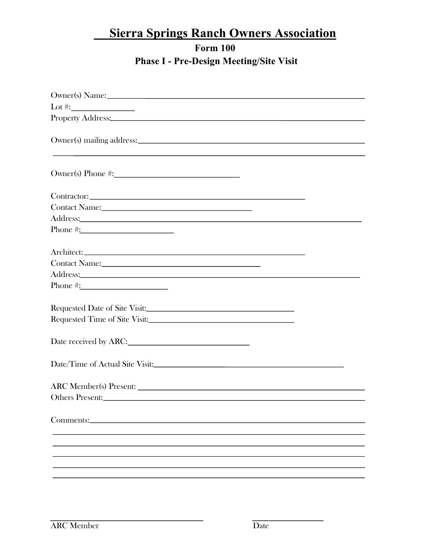#### **Form 100 Phase I - Pre-Design Meeting/Site Visit**

| Owner(s) Name:                                                                                                                                                                                                                 |
|--------------------------------------------------------------------------------------------------------------------------------------------------------------------------------------------------------------------------------|
| Lot #: $\_$                                                                                                                                                                                                                    |
| Property Address: No. 2016. The Contract of the Contract of the Contract of the Contract of the Contract of the Contract of the Contract of the Contract of the Contract of the Contract of the Contract of the Contract of th |
|                                                                                                                                                                                                                                |
|                                                                                                                                                                                                                                |
|                                                                                                                                                                                                                                |
|                                                                                                                                                                                                                                |
|                                                                                                                                                                                                                                |
|                                                                                                                                                                                                                                |
|                                                                                                                                                                                                                                |
|                                                                                                                                                                                                                                |
| Address: No. 1996. The Committee of the Committee of the Committee of the Committee of the Committee of the Committee of the Committee of the Committee of the Committee of the Committee of the Committee of the Committee of |
|                                                                                                                                                                                                                                |
|                                                                                                                                                                                                                                |
|                                                                                                                                                                                                                                |
|                                                                                                                                                                                                                                |
| Address: No. 2016. The Commission of the Commission of the Commission of the Commission of the Commission of the Commission of the Commission of the Commission of the Commission of the Commission of the Commission of the C |
|                                                                                                                                                                                                                                |
|                                                                                                                                                                                                                                |
|                                                                                                                                                                                                                                |
|                                                                                                                                                                                                                                |
|                                                                                                                                                                                                                                |
| Date received by ARC:                                                                                                                                                                                                          |
|                                                                                                                                                                                                                                |
|                                                                                                                                                                                                                                |
|                                                                                                                                                                                                                                |
| ARC Member(s) Present:                                                                                                                                                                                                         |
| Others Present:                                                                                                                                                                                                                |
|                                                                                                                                                                                                                                |
|                                                                                                                                                                                                                                |
|                                                                                                                                                                                                                                |
|                                                                                                                                                                                                                                |
|                                                                                                                                                                                                                                |
|                                                                                                                                                                                                                                |
|                                                                                                                                                                                                                                |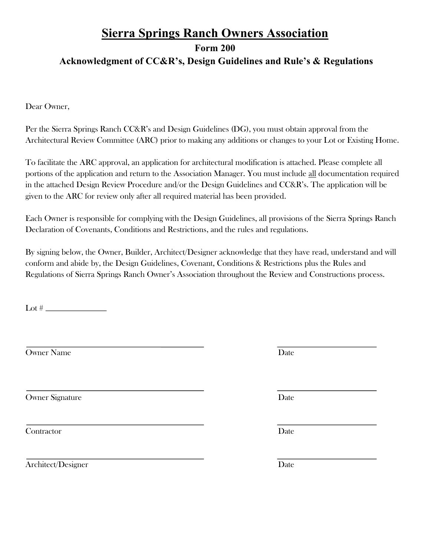### **Sierra Springs Ranch Owners Association Form 200 Acknowledgment of CC&R's, Design Guidelines and Rule's & Regulations**

Dear Owner,

Per the Sierra Springs Ranch CC&R's and Design Guidelines (DG), you must obtain approval from the Architectural Review Committee (ARC) prior to making any additions or changes to your Lot or Existing Home.

To facilitate the ARC approval, an application for architectural modification is attached. Please complete all portions of the application and return to the Association Manager. You must include all documentation required in the attached Design Review Procedure and/or the Design Guidelines and CC&R's. The application will be given to the ARC for review only after all required material has been provided.

Each Owner is responsible for complying with the Design Guidelines, all provisions of the Sierra Springs Ranch Declaration of Covenants, Conditions and Restrictions, and the rules and regulations.

By signing below, the Owner, Builder, Architect/Designer acknowledge that they have read, understand and will conform and abide by, the Design Guidelines, Covenant, Conditions & Restrictions plus the Rules and Regulations of Sierra Springs Ranch Owner's Association throughout the Review and Constructions process.

Lot #  $\frac{1}{2}$   $\frac{1}{2}$   $\frac{1}{2}$   $\frac{1}{2}$   $\frac{1}{2}$   $\frac{1}{2}$   $\frac{1}{2}$   $\frac{1}{2}$   $\frac{1}{2}$   $\frac{1}{2}$   $\frac{1}{2}$   $\frac{1}{2}$   $\frac{1}{2}$   $\frac{1}{2}$   $\frac{1}{2}$   $\frac{1}{2}$   $\frac{1}{2}$   $\frac{1}{2}$   $\frac{1}{2}$   $\frac{1}{2}$   $\frac{1}{2}$   $\frac{1$ 

Owner Name Date

Owner Signature Date

Contractor Date

Architect/Designer Date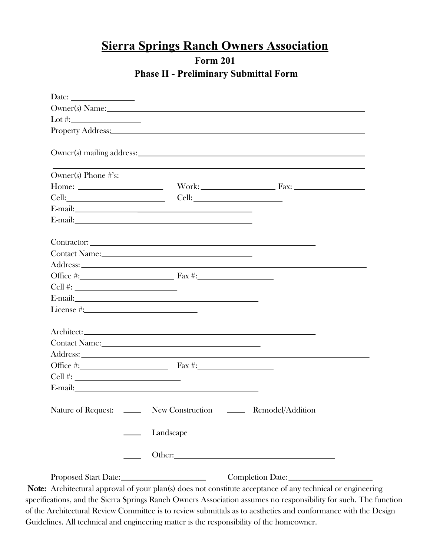#### **Form 201 Phase II - Preliminary Submittal Form**

|                                                                                                                                                                                                                                                                                                                                                                      |                                                                                                             | Owner(s) Name:                                                                                                                                                                                                                 |  |
|----------------------------------------------------------------------------------------------------------------------------------------------------------------------------------------------------------------------------------------------------------------------------------------------------------------------------------------------------------------------|-------------------------------------------------------------------------------------------------------------|--------------------------------------------------------------------------------------------------------------------------------------------------------------------------------------------------------------------------------|--|
|                                                                                                                                                                                                                                                                                                                                                                      |                                                                                                             | Property Address: No. 2016. The Contract of the Contract of the Contract of the Contract of the Contract of the Contract of the Contract of the Contract of the Contract of the Contract of the Contract of the Contract of th |  |
|                                                                                                                                                                                                                                                                                                                                                                      |                                                                                                             |                                                                                                                                                                                                                                |  |
|                                                                                                                                                                                                                                                                                                                                                                      |                                                                                                             | Owner(s) mailing address:                                                                                                                                                                                                      |  |
|                                                                                                                                                                                                                                                                                                                                                                      |                                                                                                             |                                                                                                                                                                                                                                |  |
| Owner(s) Phone #'s:                                                                                                                                                                                                                                                                                                                                                  |                                                                                                             |                                                                                                                                                                                                                                |  |
|                                                                                                                                                                                                                                                                                                                                                                      |                                                                                                             |                                                                                                                                                                                                                                |  |
|                                                                                                                                                                                                                                                                                                                                                                      |                                                                                                             |                                                                                                                                                                                                                                |  |
|                                                                                                                                                                                                                                                                                                                                                                      |                                                                                                             |                                                                                                                                                                                                                                |  |
|                                                                                                                                                                                                                                                                                                                                                                      |                                                                                                             |                                                                                                                                                                                                                                |  |
|                                                                                                                                                                                                                                                                                                                                                                      |                                                                                                             |                                                                                                                                                                                                                                |  |
| Contact Name: 1988                                                                                                                                                                                                                                                                                                                                                   |                                                                                                             |                                                                                                                                                                                                                                |  |
|                                                                                                                                                                                                                                                                                                                                                                      |                                                                                                             |                                                                                                                                                                                                                                |  |
| Office $\#$ : $\qquad \qquad$ $\qquad \qquad$ $\qquad$ $\qquad$ $\qquad \qquad$ $\qquad$ $\qquad \qquad$ $\qquad$ $\qquad \qquad$ $\qquad \qquad$ $\qquad \qquad$ $\qquad \qquad$ $\qquad \qquad$ $\qquad \qquad$ $\qquad \qquad$ $\qquad$ $\qquad \qquad$ $\qquad \qquad$ $\qquad$ $\qquad$ $\qquad$ $\qquad$ $\qquad$ $\qquad$ $\qquad$ $\qquad$ $\qquad$ $\qquad$ |                                                                                                             |                                                                                                                                                                                                                                |  |
|                                                                                                                                                                                                                                                                                                                                                                      |                                                                                                             |                                                                                                                                                                                                                                |  |
| E-mail:                                                                                                                                                                                                                                                                                                                                                              |                                                                                                             |                                                                                                                                                                                                                                |  |
|                                                                                                                                                                                                                                                                                                                                                                      |                                                                                                             |                                                                                                                                                                                                                                |  |
|                                                                                                                                                                                                                                                                                                                                                                      |                                                                                                             |                                                                                                                                                                                                                                |  |
|                                                                                                                                                                                                                                                                                                                                                                      |                                                                                                             |                                                                                                                                                                                                                                |  |
|                                                                                                                                                                                                                                                                                                                                                                      |                                                                                                             |                                                                                                                                                                                                                                |  |
|                                                                                                                                                                                                                                                                                                                                                                      |                                                                                                             |                                                                                                                                                                                                                                |  |
| Office #: $\qquad \qquad$ Fax #:                                                                                                                                                                                                                                                                                                                                     |                                                                                                             |                                                                                                                                                                                                                                |  |
|                                                                                                                                                                                                                                                                                                                                                                      |                                                                                                             |                                                                                                                                                                                                                                |  |
| E-mail: 2008. 2008. 2010. 2010. 2010. 2010. 2010. 2010. 2011. 2012. 2012. 2012. 2012. 2012. 2012. 2012. 2013. 2014. 2014. 2014. 2014. 2014. 2014. 2014. 2014. 2014. 2014. 2014. 2014. 2014. 2014. 2014. 2014. 2014. 2014. 2014                                                                                                                                       |                                                                                                             |                                                                                                                                                                                                                                |  |
|                                                                                                                                                                                                                                                                                                                                                                      |                                                                                                             |                                                                                                                                                                                                                                |  |
|                                                                                                                                                                                                                                                                                                                                                                      |                                                                                                             | Nature of Request: ______ New Construction ______ Remodel/Addition                                                                                                                                                             |  |
|                                                                                                                                                                                                                                                                                                                                                                      | <u>Landscape</u>                                                                                            |                                                                                                                                                                                                                                |  |
|                                                                                                                                                                                                                                                                                                                                                                      |                                                                                                             |                                                                                                                                                                                                                                |  |
|                                                                                                                                                                                                                                                                                                                                                                      |                                                                                                             |                                                                                                                                                                                                                                |  |
|                                                                                                                                                                                                                                                                                                                                                                      |                                                                                                             |                                                                                                                                                                                                                                |  |
|                                                                                                                                                                                                                                                                                                                                                                      | Note: Architectural approval of your plan(s) does not constitute acceptance of any technical or engineering |                                                                                                                                                                                                                                |  |

specifications, and the Sierra Springs Ranch Owners Association assumes no responsibility for such. The function of the Architectural Review Committee is to review submittals as to aesthetics and conformance with the Design Guidelines. All technical and engineering matter is the responsibility of the homeowner.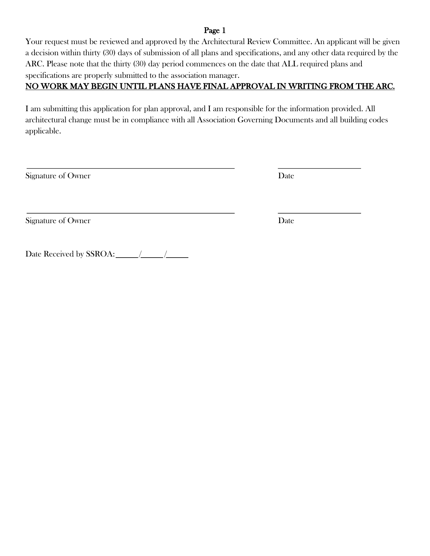#### Page 1

Your request must be reviewed and approved by the Architectural Review Committee. An applicant will be given a decision within thirty (30) days of submission of all plans and specifications, and any other data required by the ARC. Please note that the thirty (30) day period commences on the date that ALL required plans and specifications are properly submitted to the association manager.

#### NO WORK MAY BEGIN UNTIL PLANS HAVE FINAL APPROVAL IN WRITING FROM THE ARC.

I am submitting this application for plan approval, and I am responsible for the information provided. All architectural change must be in compliance with all Association Governing Documents and all building codes applicable.

Signature of Owner Date Date of Owner Date

 $\overline{a}$ 

Signature of Owner Date

Date Received by SSROA: / /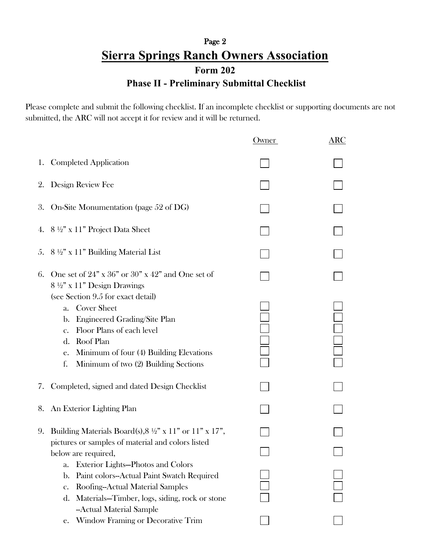## Page 2 **Sierra Springs Ranch Owners Association Form 202 Phase II - Preliminary Submittal Checklist**

Please complete and submit the following checklist. If an incomplete checklist or supporting documents are not submitted, the ARC will not accept it for review and it will be returned.

|    |                                                                                                                                                                                                                                                                 | Owner | $\overline{\text{ARC}}$                                                              |
|----|-----------------------------------------------------------------------------------------------------------------------------------------------------------------------------------------------------------------------------------------------------------------|-------|--------------------------------------------------------------------------------------|
| 1. | <b>Completed Application</b>                                                                                                                                                                                                                                    |       |                                                                                      |
| 2. | Design Review Fee                                                                                                                                                                                                                                               |       |                                                                                      |
| 3. | On-Site Monumentation (page 52 of DG)                                                                                                                                                                                                                           |       |                                                                                      |
| 4. | $8\frac{1}{2}$ " x 11" Project Data Sheet                                                                                                                                                                                                                       |       |                                                                                      |
|    | 5. $8\frac{1}{2}$ x 11" Building Material List                                                                                                                                                                                                                  |       |                                                                                      |
| 6. | One set of $24"$ x $36"$ or $30"$ x $42"$ and One set of<br>$8\frac{1}{2}$ " x 11" Design Drawings                                                                                                                                                              |       |                                                                                      |
|    | (see Section 9.5 for exact detail)<br><b>Cover Sheet</b><br>a.<br>Engineered Grading/Site Plan<br>b.<br>Floor Plans of each level<br>$\mathbf{c}$ .<br>d. Roof Plan<br>e. Minimum of four (4) Building Elevations<br>f.<br>Minimum of two (2) Building Sections |       | $\begin{array}{ c } \hline \ \hline \ \hline \ \hline \ \hline \ \hline \end{array}$ |
| 7. | Completed, signed and dated Design Checklist                                                                                                                                                                                                                    |       |                                                                                      |
|    | 8. An Exterior Lighting Plan                                                                                                                                                                                                                                    |       |                                                                                      |
| 9. | Building Materials Board(s), $8\frac{1}{2}$ " x 11" or 11" x 17",<br>pictures or samples of material and colors listed<br>below are required,<br>Exterior Lights-Photos and Colors<br>a.<br>Paint colors--Actual Paint Swatch Required<br>b.                    |       |                                                                                      |
|    | Roofing--Actual Material Samples<br>c.<br>Materials-Timber, logs, siding, rock or stone<br>d.<br>--Actual Material Sample<br><b>Window Framing or Decorative Trim</b><br>е.                                                                                     |       |                                                                                      |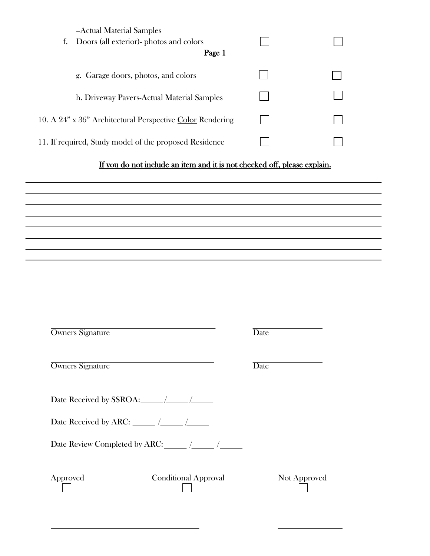| --Actual Material Samples<br>Doors (all exterior)- photos and colors<br>t.<br>Page 1 |  |
|--------------------------------------------------------------------------------------|--|
| g. Garage doors, photos, and colors                                                  |  |
| h. Driveway Pavers-Actual Material Samples                                           |  |
| 10. A 24" x 36" Architectural Perspective Color Rendering                            |  |
| 11. If required, Study model of the proposed Residence                               |  |

#### If you do not include an item and it is not checked off, please explain.

| Owners Signature                 |                             | Date         |
|----------------------------------|-----------------------------|--------------|
| Owners Signature                 |                             | Date         |
| Date Received by SSROA: $\angle$ |                             |              |
|                                  |                             |              |
|                                  |                             |              |
| Approved                         | <b>Conditional Approval</b> | Not Approved |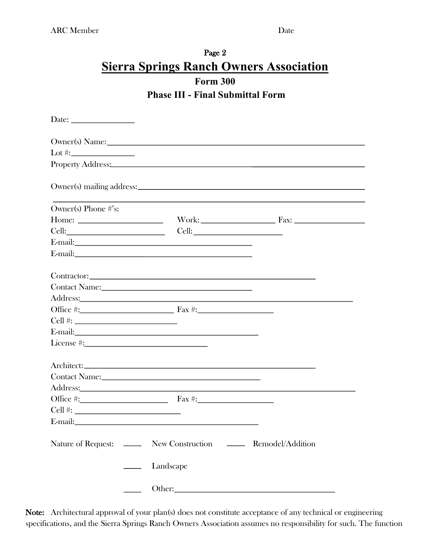#### Page 2 **Sierra Springs Ranch Owners Association Form 300 Phase III - Final Submittal Form**

| Date: $\_\_$                                                                                                                                                                                                                                                                                                                                                                                                  |           |                                                                                                                                                                                                                                |
|---------------------------------------------------------------------------------------------------------------------------------------------------------------------------------------------------------------------------------------------------------------------------------------------------------------------------------------------------------------------------------------------------------------|-----------|--------------------------------------------------------------------------------------------------------------------------------------------------------------------------------------------------------------------------------|
| Owner(s) Name: 1988                                                                                                                                                                                                                                                                                                                                                                                           |           |                                                                                                                                                                                                                                |
|                                                                                                                                                                                                                                                                                                                                                                                                               |           |                                                                                                                                                                                                                                |
| Property Address: New York Contract to the Contract of the Contract of the Contract of the Contract of the Contract of the Contract of the Contract of the Contract of the Contract of the Contract of the Contract of the Con                                                                                                                                                                                |           |                                                                                                                                                                                                                                |
|                                                                                                                                                                                                                                                                                                                                                                                                               |           |                                                                                                                                                                                                                                |
| Owner(s) Phone $\#$ 's:                                                                                                                                                                                                                                                                                                                                                                                       |           |                                                                                                                                                                                                                                |
| Home: $\frac{1}{\sqrt{1-\frac{1}{2}}\sqrt{1-\frac{1}{2}}\sqrt{1-\frac{1}{2}}\sqrt{1-\frac{1}{2}}\sqrt{1-\frac{1}{2}}\sqrt{1-\frac{1}{2}}\sqrt{1-\frac{1}{2}}\sqrt{1-\frac{1}{2}}\sqrt{1-\frac{1}{2}}\sqrt{1-\frac{1}{2}}\sqrt{1-\frac{1}{2}}\sqrt{1-\frac{1}{2}}\sqrt{1-\frac{1}{2}}\sqrt{1-\frac{1}{2}}\sqrt{1-\frac{1}{2}}\sqrt{1-\frac{1}{2}}\sqrt{1-\frac{1}{2}}\sqrt{1-\frac{1}{2}}\sqrt{1-\frac{1}{2}}$ |           |                                                                                                                                                                                                                                |
|                                                                                                                                                                                                                                                                                                                                                                                                               |           |                                                                                                                                                                                                                                |
|                                                                                                                                                                                                                                                                                                                                                                                                               |           |                                                                                                                                                                                                                                |
| E-mail:                                                                                                                                                                                                                                                                                                                                                                                                       |           |                                                                                                                                                                                                                                |
|                                                                                                                                                                                                                                                                                                                                                                                                               |           |                                                                                                                                                                                                                                |
|                                                                                                                                                                                                                                                                                                                                                                                                               |           |                                                                                                                                                                                                                                |
| Contact Name: Name and South Contact Name and South Contact Name and South Contact Name and South Contact Oriental Contact Oriental Contact Oriental Contact Oriental Contact Oriental Contact Oriental Contact Oriental Conta                                                                                                                                                                                |           |                                                                                                                                                                                                                                |
|                                                                                                                                                                                                                                                                                                                                                                                                               |           | Address: No. 1986. The Committee of the Committee of the Committee of the Committee of the Committee of the Committee of the Committee of the Committee of the Committee of the Committee of the Committee of the Committee of |
|                                                                                                                                                                                                                                                                                                                                                                                                               |           |                                                                                                                                                                                                                                |
|                                                                                                                                                                                                                                                                                                                                                                                                               |           |                                                                                                                                                                                                                                |
|                                                                                                                                                                                                                                                                                                                                                                                                               |           |                                                                                                                                                                                                                                |
| License #: New York 2014                                                                                                                                                                                                                                                                                                                                                                                      |           |                                                                                                                                                                                                                                |
|                                                                                                                                                                                                                                                                                                                                                                                                               |           |                                                                                                                                                                                                                                |
|                                                                                                                                                                                                                                                                                                                                                                                                               |           |                                                                                                                                                                                                                                |
| Address: <u>Address</u> and the contract of the contract of the contract of the contract of the contract of the contract of the contract of the contract of the contract of the contract of the contract of the contract of the con                                                                                                                                                                           |           |                                                                                                                                                                                                                                |
|                                                                                                                                                                                                                                                                                                                                                                                                               |           |                                                                                                                                                                                                                                |
|                                                                                                                                                                                                                                                                                                                                                                                                               |           |                                                                                                                                                                                                                                |
| E-mail:                                                                                                                                                                                                                                                                                                                                                                                                       |           |                                                                                                                                                                                                                                |
|                                                                                                                                                                                                                                                                                                                                                                                                               |           |                                                                                                                                                                                                                                |
| Nature of Request: _______ New Construction _______ Remodel/Addition                                                                                                                                                                                                                                                                                                                                          |           |                                                                                                                                                                                                                                |
| $\sim$ 100 $\mu$                                                                                                                                                                                                                                                                                                                                                                                              | Landscape |                                                                                                                                                                                                                                |
|                                                                                                                                                                                                                                                                                                                                                                                                               |           |                                                                                                                                                                                                                                |

Note: Architectural approval of your plan(s) does not constitute acceptance of any technical or engineering specifications, and the Sierra Springs Ranch Owners Association assumes no responsibility for such. The function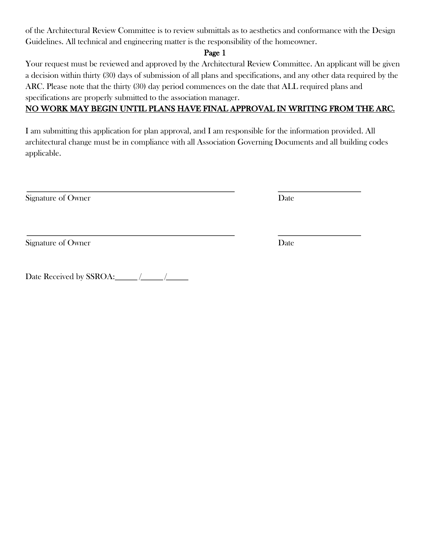of the Architectural Review Committee is to review submittals as to aesthetics and conformance with the Design Guidelines. All technical and engineering matter is the responsibility of the homeowner.

#### Page 1

Your request must be reviewed and approved by the Architectural Review Committee. An applicant will be given a decision within thirty (30) days of submission of all plans and specifications, and any other data required by the ARC. Please note that the thirty (30) day period commences on the date that ALL required plans and specifications are properly submitted to the association manager.

#### NO WORK MAY BEGIN UNTIL PLANS HAVE FINAL APPROVAL IN WRITING FROM THE ARC.

I am submitting this application for plan approval, and I am responsible for the information provided. All architectural change must be in compliance with all Association Governing Documents and all building codes applicable.

Signature of Owner Date

Signature of Owner Date

Date Received by SSROA: $\_\_\/$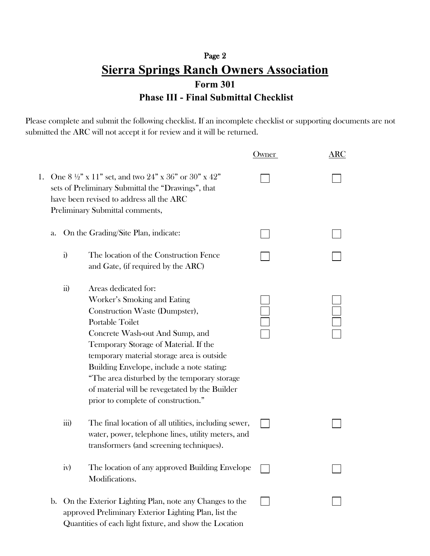### Page 2 **Sierra Springs Ranch Owners Association Form 301 Phase III - Final Submittal Checklist**

Please complete and submit the following checklist. If an incomplete checklist or supporting documents are not submitted the ARC will not accept it for review and it will be returned.

|    |    |                    |                                                                                                                                                                                                                                                                                                                                                                                                                                  | Owner | ARC |
|----|----|--------------------|----------------------------------------------------------------------------------------------------------------------------------------------------------------------------------------------------------------------------------------------------------------------------------------------------------------------------------------------------------------------------------------------------------------------------------|-------|-----|
| 1. |    |                    | One $8\frac{1}{2}$ " x 11" set, and two $24$ " x 36" or 30" x 42"<br>sets of Preliminary Submittal the "Drawings", that<br>have been revised to address all the ARC<br>Preliminary Submittal comments,                                                                                                                                                                                                                           |       |     |
|    | a. |                    | On the Grading/Site Plan, indicate:                                                                                                                                                                                                                                                                                                                                                                                              |       |     |
|    |    | $\ddot{i}$         | The location of the Construction Fence<br>and Gate, (if required by the ARC)                                                                                                                                                                                                                                                                                                                                                     |       |     |
|    |    | $\overline{ii}$    | Areas dedicated for:<br>Worker's Smoking and Eating<br>Construction Waste (Dumpster),<br><b>Portable Toilet</b><br>Concrete Wash-out And Sump, and<br>Temporary Storage of Material. If the<br>temporary material storage area is outside<br>Building Envelope, include a note stating:<br>"The area disturbed by the temporary storage<br>of material will be revegetated by the Builder<br>prior to complete of construction." |       |     |
|    |    | $\overline{iii}$ ) | The final location of all utilities, including sewer,<br>water, power, telephone lines, utility meters, and<br>transformers (and screening techniques).                                                                                                                                                                                                                                                                          |       |     |
|    |    | 1V)                | The location of any approved Building Envelope<br>Modifications.                                                                                                                                                                                                                                                                                                                                                                 |       |     |
|    | b. |                    | On the Exterior Lighting Plan, note any Changes to the<br>approved Preliminary Exterior Lighting Plan, list the<br>Quantities of each light fixture, and show the Location                                                                                                                                                                                                                                                       |       |     |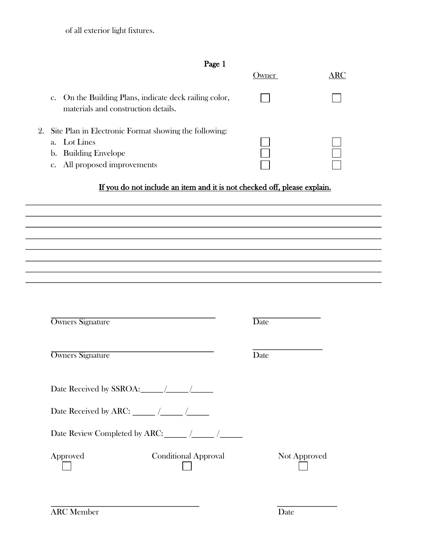of all exterior light fixtures.

| c<br>I<br>н<br>., |
|-------------------|
|-------------------|

|                                                                                               | wner | RC |
|-----------------------------------------------------------------------------------------------|------|----|
| c. On the Building Plans, indicate deck railing color,<br>materials and construction details. |      |    |
| 2. Site Plan in Electronic Format showing the following:                                      |      |    |
| a. Lot Lines                                                                                  |      |    |
| b. Building Envelope                                                                          |      |    |
| c. All proposed improvements                                                                  |      |    |

## If you do not include an item and it is not checked off, please explain.

| <b>Owners Signature</b>                              | <b>Date</b> |
|------------------------------------------------------|-------------|
| <b>Owners Signature</b>                              | Date        |
|                                                      |             |
|                                                      |             |
| Date Review Completed by ARC: ______ /_____ /_______ |             |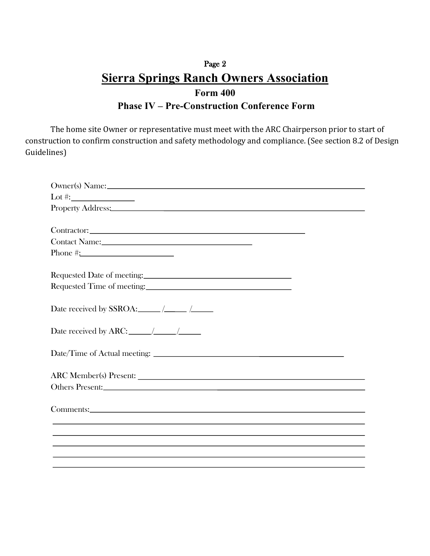## Page 2 **Sierra Springs Ranch Owners Association Form 400 Phase IV – Pre-Construction Conference Form**

The home site Owner or representative must meet with the ARC Chairperson prior to start of construction to confirm construction and safety methodology and compliance. (See section 8.2 of Design Guidelines)

| Lot #: $\_$                                                                                                                                                                                                                    |
|--------------------------------------------------------------------------------------------------------------------------------------------------------------------------------------------------------------------------------|
| Property Address: New York Contract to the Contract of the Contract of the Contract of the Contract of the Contract of the Contract of the Contract of the Contract of the Contract of the Contract of the Contract of the Con |
|                                                                                                                                                                                                                                |
|                                                                                                                                                                                                                                |
|                                                                                                                                                                                                                                |
|                                                                                                                                                                                                                                |
|                                                                                                                                                                                                                                |
|                                                                                                                                                                                                                                |
|                                                                                                                                                                                                                                |
|                                                                                                                                                                                                                                |
|                                                                                                                                                                                                                                |
|                                                                                                                                                                                                                                |
|                                                                                                                                                                                                                                |
|                                                                                                                                                                                                                                |
|                                                                                                                                                                                                                                |
|                                                                                                                                                                                                                                |
|                                                                                                                                                                                                                                |
| Others Present:                                                                                                                                                                                                                |
|                                                                                                                                                                                                                                |
|                                                                                                                                                                                                                                |
|                                                                                                                                                                                                                                |
|                                                                                                                                                                                                                                |
|                                                                                                                                                                                                                                |
|                                                                                                                                                                                                                                |
|                                                                                                                                                                                                                                |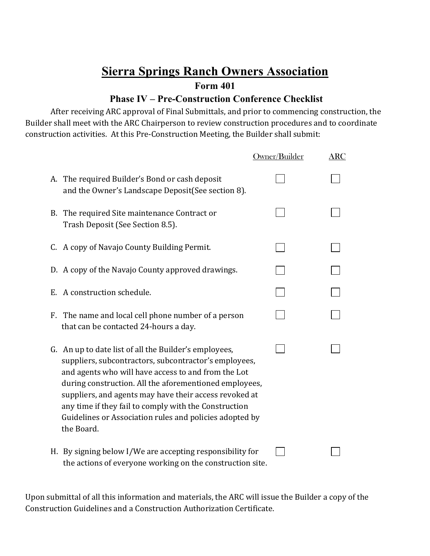**Form 401**

#### **Phase IV – Pre-Construction Conference Checklist**

After receiving ARC approval of Final Submittals, and prior to commencing construction, the Builder shall meet with the ARC Chairperson to review construction procedures and to coordinate construction activities. At this Pre-Construction Meeting, the Builder shall submit:

|                                                                                                                                                                                                                                                                                                                                                                                                                             | Owner/Builder | ARC |
|-----------------------------------------------------------------------------------------------------------------------------------------------------------------------------------------------------------------------------------------------------------------------------------------------------------------------------------------------------------------------------------------------------------------------------|---------------|-----|
| A. The required Builder's Bond or cash deposit<br>and the Owner's Landscape Deposit (See section 8).                                                                                                                                                                                                                                                                                                                        |               |     |
| B. The required Site maintenance Contract or<br>Trash Deposit (See Section 8.5).                                                                                                                                                                                                                                                                                                                                            |               |     |
| C. A copy of Navajo County Building Permit.                                                                                                                                                                                                                                                                                                                                                                                 |               |     |
| D. A copy of the Navajo County approved drawings.                                                                                                                                                                                                                                                                                                                                                                           |               |     |
| E. A construction schedule.                                                                                                                                                                                                                                                                                                                                                                                                 |               |     |
| F. The name and local cell phone number of a person<br>that can be contacted 24-hours a day.                                                                                                                                                                                                                                                                                                                                |               |     |
| G. An up to date list of all the Builder's employees,<br>suppliers, subcontractors, subcontractor's employees,<br>and agents who will have access to and from the Lot<br>during construction. All the aforementioned employees,<br>suppliers, and agents may have their access revoked at<br>any time if they fail to comply with the Construction<br>Guidelines or Association rules and policies adopted by<br>the Board. |               |     |
| H. By signing below I/We are accepting responsibility for<br>the actions of everyone working on the construction site.                                                                                                                                                                                                                                                                                                      |               |     |

Upon submittal of all this information and materials, the ARC will issue the Builder a copy of the Construction Guidelines and a Construction Authorization Certificate.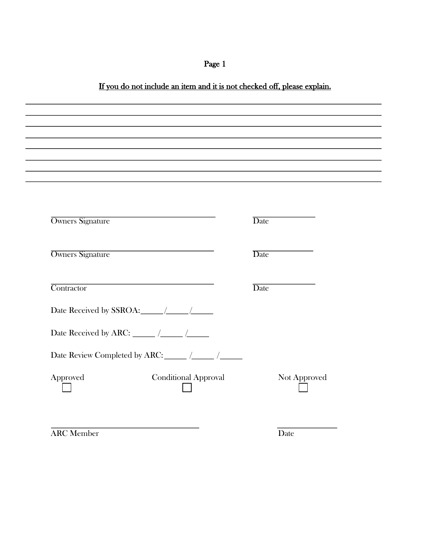## Page 1

#### If you do not include an item and it is not checked off, please explain.

| <b>Owners Signature</b>                              |                             | <b>Date</b>  |  |
|------------------------------------------------------|-----------------------------|--------------|--|
| <b>Owners Signature</b>                              |                             | Date         |  |
| Contractor                                           |                             | <b>Date</b>  |  |
|                                                      |                             |              |  |
|                                                      |                             |              |  |
| Date Review Completed by ARC: ______ /______ /______ |                             |              |  |
| Approved                                             | <b>Conditional Approval</b> | Not Approved |  |

**ARC Member** Date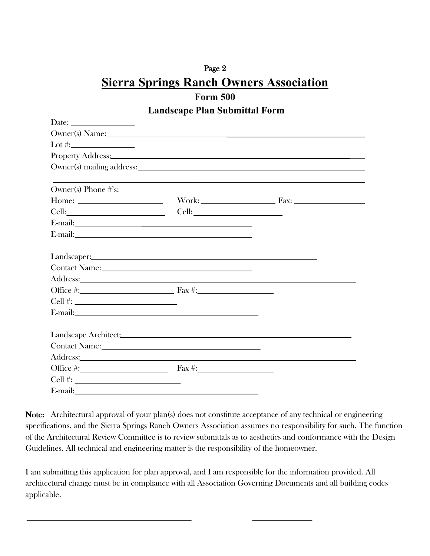#### **Form 500 Landscape Plan Submittal Form**

| Date: $\frac{1}{\sqrt{1-\frac{1}{2}}\sqrt{1-\frac{1}{2}}\left(1-\frac{1}{2}\right)}$                                                                                                                                                                                                                                                                                                                          |                                                                                                                                                                                                                                |
|---------------------------------------------------------------------------------------------------------------------------------------------------------------------------------------------------------------------------------------------------------------------------------------------------------------------------------------------------------------------------------------------------------------|--------------------------------------------------------------------------------------------------------------------------------------------------------------------------------------------------------------------------------|
| Owner(s) Name: 2008                                                                                                                                                                                                                                                                                                                                                                                           |                                                                                                                                                                                                                                |
|                                                                                                                                                                                                                                                                                                                                                                                                               |                                                                                                                                                                                                                                |
|                                                                                                                                                                                                                                                                                                                                                                                                               | Property Address: No. 2016. The Contract of the Contract of the Contract of the Contract of the Contract of the Contract of the Contract of the Contract of the Contract of the Contract of the Contract of the Contract of th |
|                                                                                                                                                                                                                                                                                                                                                                                                               |                                                                                                                                                                                                                                |
|                                                                                                                                                                                                                                                                                                                                                                                                               |                                                                                                                                                                                                                                |
| Owner(s) Phone #'s:                                                                                                                                                                                                                                                                                                                                                                                           |                                                                                                                                                                                                                                |
| Home: $\frac{1}{\sqrt{1-\frac{1}{2}}\sqrt{1-\frac{1}{2}}\sqrt{1-\frac{1}{2}}\sqrt{1-\frac{1}{2}}\sqrt{1-\frac{1}{2}}\sqrt{1-\frac{1}{2}}\sqrt{1-\frac{1}{2}}\sqrt{1-\frac{1}{2}}\sqrt{1-\frac{1}{2}}\sqrt{1-\frac{1}{2}}\sqrt{1-\frac{1}{2}}\sqrt{1-\frac{1}{2}}\sqrt{1-\frac{1}{2}}\sqrt{1-\frac{1}{2}}\sqrt{1-\frac{1}{2}}\sqrt{1-\frac{1}{2}}\sqrt{1-\frac{1}{2}}\sqrt{1-\frac{1}{2}}\sqrt{1-\frac{1}{2}}$ |                                                                                                                                                                                                                                |
|                                                                                                                                                                                                                                                                                                                                                                                                               |                                                                                                                                                                                                                                |
|                                                                                                                                                                                                                                                                                                                                                                                                               |                                                                                                                                                                                                                                |
|                                                                                                                                                                                                                                                                                                                                                                                                               |                                                                                                                                                                                                                                |
|                                                                                                                                                                                                                                                                                                                                                                                                               |                                                                                                                                                                                                                                |
| Landscaper: No. 1996. The Commission of the Commission of the Commission of the Commission of the Commission of the Commission of the Commission of the Commission of the Commission of the Commission of the Commission of th                                                                                                                                                                                |                                                                                                                                                                                                                                |
|                                                                                                                                                                                                                                                                                                                                                                                                               |                                                                                                                                                                                                                                |
|                                                                                                                                                                                                                                                                                                                                                                                                               |                                                                                                                                                                                                                                |
|                                                                                                                                                                                                                                                                                                                                                                                                               |                                                                                                                                                                                                                                |
|                                                                                                                                                                                                                                                                                                                                                                                                               |                                                                                                                                                                                                                                |
|                                                                                                                                                                                                                                                                                                                                                                                                               |                                                                                                                                                                                                                                |
|                                                                                                                                                                                                                                                                                                                                                                                                               |                                                                                                                                                                                                                                |
|                                                                                                                                                                                                                                                                                                                                                                                                               |                                                                                                                                                                                                                                |
|                                                                                                                                                                                                                                                                                                                                                                                                               |                                                                                                                                                                                                                                |
| Address: Andreas Address: Address: Address: Address: Address: Address: Address: Address: Address: Address: Address: Address: Address: Address: Address: Address: Address: Address: Address: Address: Address: Address: Address                                                                                                                                                                                |                                                                                                                                                                                                                                |
| Office #: $\qquad \qquad \qquad$ Fax #:                                                                                                                                                                                                                                                                                                                                                                       |                                                                                                                                                                                                                                |
|                                                                                                                                                                                                                                                                                                                                                                                                               |                                                                                                                                                                                                                                |
| E-mail: and the contract of the contract of the contract of the contract of the contract of the contract of the contract of the contract of the contract of the contract of the contract of the contract of the contract of th                                                                                                                                                                                |                                                                                                                                                                                                                                |

Note: Architectural approval of your plan(s) does not constitute acceptance of any technical or engineering specifications, and the Sierra Springs Ranch Owners Association assumes no responsibility for such. The function of the Architectural Review Committee is to review submittals as to aesthetics and conformance with the Design Guidelines. All technical and engineering matter is the responsibility of the homeowner.

I am submitting this application for plan approval, and I am responsible for the information provided. All architectural change must be in compliance with all Association Governing Documents and all building codes applicable.

 $\overline{a}$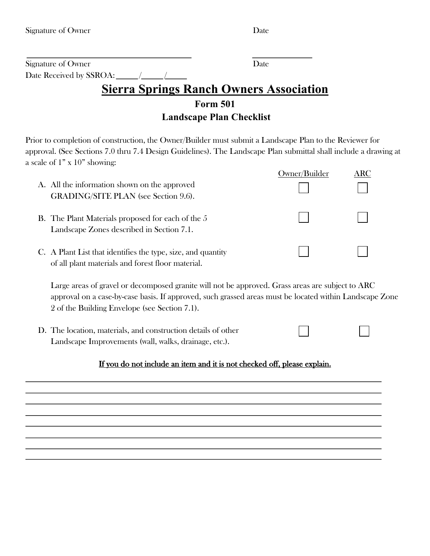| Signature of Owner      | Date. |
|-------------------------|-------|
| Date Received by SSROA: |       |

#### **Form 501 Landscape Plan Checklist**

Prior to completion of construction, the Owner/Builder must submit a Landscape Plan to the Reviewer for approval. (See Sections 7.0 thru 7.4 Design Guidelines). The Landscape Plan submittal shall include a drawing at a scale of 1" x 10" showing:

| A. All the information shown on the approved<br><b>GRADING/SITE PLAN</b> (see Section 9.6).                       | Owner/Builder | ARC |
|-------------------------------------------------------------------------------------------------------------------|---------------|-----|
| <b>B.</b> The Plant Materials proposed for each of the 5<br>Landscape Zones described in Section 7.1.             |               |     |
| C. A Plant List that identifies the type, size, and quantity<br>of all plant materials and forest floor material. |               |     |

Large areas of gravel or decomposed granite will not be approved. Grass areas are subject to ARC approval on a case-by-case basis. If approved, such grassed areas must be located within Landscape Zone 2 of the Building Envelope (see Section 7.1).

D. The location, materials, and construction details of other Landscape Improvements (wall, walks, drainage, etc.).

#### If you do not include an item and it is not checked off, please explain.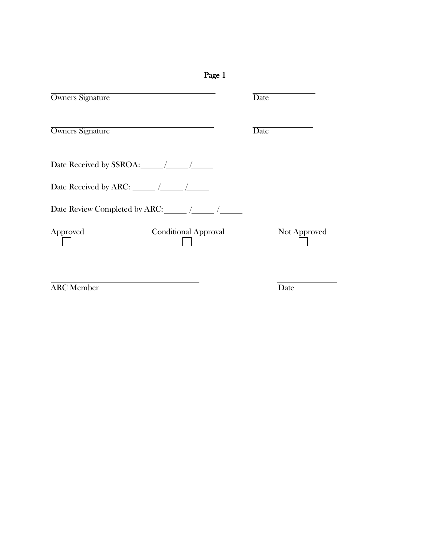| Page 1                                  |              |
|-----------------------------------------|--------------|
| <b>Owners Signature</b>                 | Date         |
| <b>Owners Signature</b>                 | Date         |
| Date Received by SSROA: $\angle$        |              |
|                                         |              |
|                                         |              |
| Approved<br><b>Conditional Approval</b> | Not Approved |
|                                         |              |

**ARC Member** Date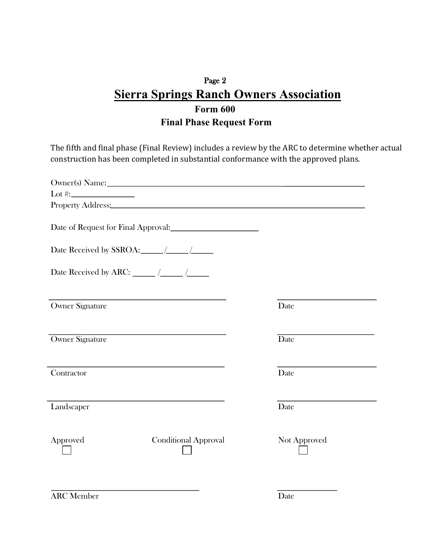## Page 2 **Sierra Springs Ranch Owners Association Form 600 Final Phase Request Form**

The fifth and final phase (Final Review) includes a review by the ARC to determine whether actual construction has been completed in substantial conformance with the approved plans.

| Owner(s) Name: New York Contract to the Contract of the Contract of the Contract of the Contract of the Contract of the Contract of the Contract of the Contract of the Contract of the Contract of the Contract of the Contra |              |
|--------------------------------------------------------------------------------------------------------------------------------------------------------------------------------------------------------------------------------|--------------|
|                                                                                                                                                                                                                                |              |
| Property Address: No. 2016. The Contract of the Contract of the Contract of the Contract of the Contract of the Contract of the Contract of the Contract of the Contract of the Contract of the Contract of the Contract of th |              |
| Date of Request for Final Approval:<br><u>Date of Request for Final Approval:</u>                                                                                                                                              |              |
|                                                                                                                                                                                                                                |              |
| Date Received by ARC: $\frac{1}{\sqrt{1-\frac{1}{2}}}\sqrt{1-\frac{1}{2}}$                                                                                                                                                     |              |
| Owner Signature                                                                                                                                                                                                                | Date         |
| <b>Owner Signature</b>                                                                                                                                                                                                         | Date         |
| Contractor                                                                                                                                                                                                                     | Date         |
| Landscaper                                                                                                                                                                                                                     | Date         |
| <b>Conditional Approval</b><br>Approved                                                                                                                                                                                        | Not Approved |
|                                                                                                                                                                                                                                |              |

**ARC Member** Date